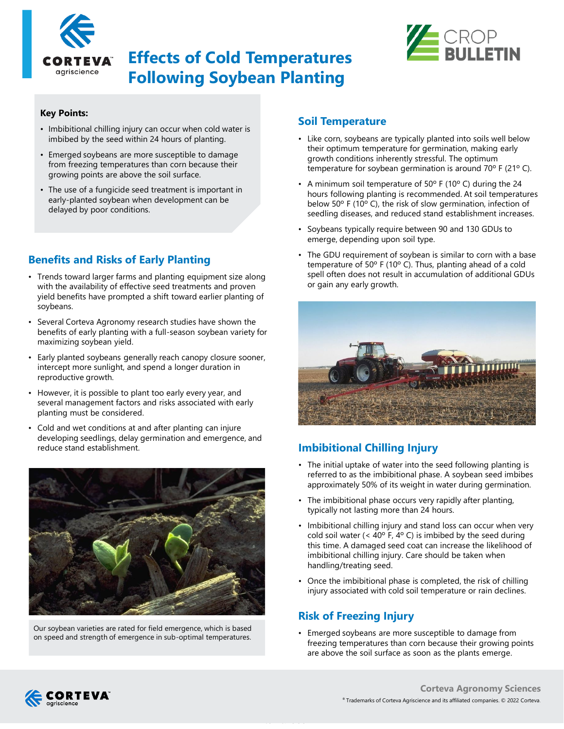

# **Effects of Cold Temperatures Following Soybean Planting**



#### **Key Points:**

- Imbibitional chilling injury can occur when cold water is imbibed by the seed within 24 hours of planting.
- Emerged soybeans are more susceptible to damage from freezing temperatures than corn because their growing points are above the soil surface.
- The use of a fungicide seed treatment is important in early-planted soybean when development can be delayed by poor conditions.

# **Benefits and Risks of Early Planting**

- Trends toward larger farms and planting equipment size along with the availability of effective seed treatments and proven yield benefits have prompted a shift toward earlier planting of soybeans.
- Several Corteva Agronomy research studies have shown the benefits of early planting with a full-season soybean variety for maximizing soybean yield.
- Early planted soybeans generally reach canopy closure sooner, intercept more sunlight, and spend a longer duration in reproductive growth.
- However, it is possible to plant too early every year, and several management factors and risks associated with early planting must be considered.
- Cold and wet conditions at and after planting can injure developing seedlings, delay germination and emergence, and reduce stand establishment.



Our soybean varieties are rated for field emergence, which is based on speed and strength of emergence in sub-optimal temperatures.

#### **Soil Temperature**

- Like corn, soybeans are typically planted into soils well below their optimum temperature for germination, making early growth conditions inherently stressful. The optimum temperature for soybean germination is around 70º F (21º C).
- A minimum soil temperature of 50º F (10º C) during the 24 hours following planting is recommended. At soil temperatures below 50º F (10º C), the risk of slow germination, infection of seedling diseases, and reduced stand establishment increases.
- Soybeans typically require between 90 and 130 GDUs to emerge, depending upon soil type.
- The GDU requirement of soybean is similar to corn with a base temperature of 50º F (10º C). Thus, planting ahead of a cold spell often does not result in accumulation of additional GDUs or gain any early growth.



# **Imbibitional Chilling Injury**

- The initial uptake of water into the seed following planting is referred to as the imbibitional phase. A soybean seed imbibes approximately 50% of its weight in water during germination.
- The imbibitional phase occurs very rapidly after planting, typically not lasting more than 24 hours.
- Imbibitional chilling injury and stand loss can occur when very cold soil water (<  $40^{\circ}$  F,  $4^{\circ}$  C) is imbibed by the seed during this time. A damaged seed coat can increase the likelihood of imbibitional chilling injury. Care should be taken when handling/treating seed.
- Once the imbibitional phase is completed, the risk of chilling injury associated with cold soil temperature or rain declines.

# **Risk of Freezing Injury**

---Internal Use---

• Emerged soybeans are more susceptible to damage from freezing temperatures than corn because their growing points are above the soil surface as soon as the plants emerge.